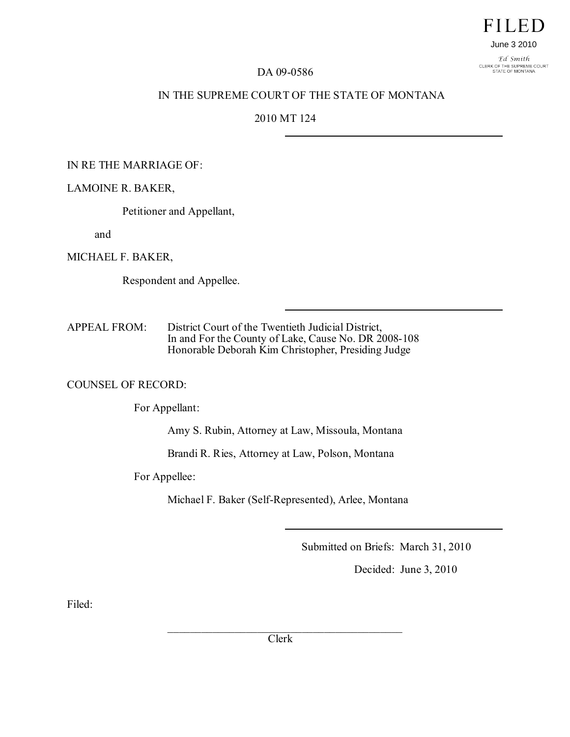# **FILED**

June 3 2010

Ed Smith CLERK OF THE SUPREME COURT<br>STATE OF MONTANA

#### DA 09-0586

## IN THE SUPREME COURT OF THE STATE OF MONTANA

## 2010 MT 124

#### IN RE THE MARRIAGE OF:

#### LAMOINE R. BAKER,

Petitioner and Appellant,

and

MICHAEL F. BAKER,

Respondent and Appellee.

APPEAL FROM: District Court of the Twentieth Judicial District, In and For the County of Lake, Cause No. DR 2008-108 Honorable Deborah Kim Christopher, Presiding Judge

#### COUNSEL OF RECORD:

For Appellant:

Amy S. Rubin, Attorney at Law, Missoula, Montana

Brandi R. Ries, Attorney at Law, Polson, Montana

For Appellee:

Michael F. Baker (Self-Represented), Arlee, Montana

Submitted on Briefs: March 31, 2010

Decided: June 3, 2010

Filed:

\_\_\_\_\_\_\_\_\_\_\_\_\_\_\_\_\_\_\_\_\_\_\_\_\_\_\_\_\_\_\_\_\_\_\_\_\_\_\_\_\_\_ Clerk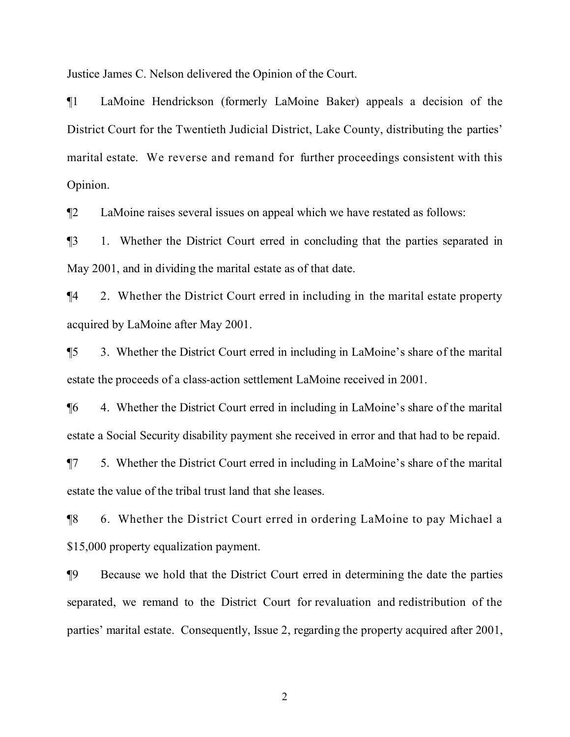Justice James C. Nelson delivered the Opinion of the Court.

¶1 LaMoine Hendrickson (formerly LaMoine Baker) appeals a decision of the District Court for the Twentieth Judicial District, Lake County, distributing the parties' marital estate. We reverse and remand for further proceedings consistent with this Opinion.

¶2 LaMoine raises several issues on appeal which we have restated as follows:

¶3 1. Whether the District Court erred in concluding that the parties separated in May 2001, and in dividing the marital estate as of that date.

¶4 2. Whether the District Court erred in including in the marital estate property acquired by LaMoine after May 2001.

¶5 3. Whether the District Court erred in including in LaMoine's share of the marital estate the proceeds of a class-action settlement LaMoine received in 2001.

¶6 4. Whether the District Court erred in including in LaMoine's share of the marital estate a Social Security disability payment she received in error and that had to be repaid.

¶7 5. Whether the District Court erred in including in LaMoine's share of the marital estate the value of the tribal trust land that she leases.

¶8 6. Whether the District Court erred in ordering LaMoine to pay Michael a \$15,000 property equalization payment.

¶9 Because we hold that the District Court erred in determining the date the parties separated, we remand to the District Court for revaluation and redistribution of the parties' marital estate. Consequently, Issue 2, regarding the property acquired after 2001,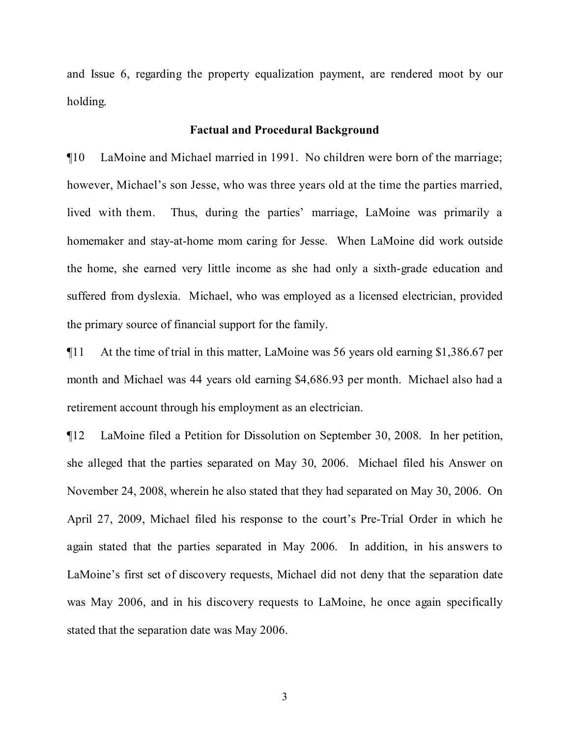and Issue 6, regarding the property equalization payment, are rendered moot by our holding.

#### **Factual and Procedural Background**

¶10 LaMoine and Michael married in 1991. No children were born of the marriage; however, Michael's son Jesse, who was three years old at the time the parties married, lived with them. Thus, during the parties' marriage, LaMoine was primarily a homemaker and stay-at-home mom caring for Jesse. When LaMoine did work outside the home, she earned very little income as she had only a sixth-grade education and suffered from dyslexia. Michael, who was employed as a licensed electrician, provided the primary source of financial support for the family.

¶11 At the time of trial in this matter, LaMoine was 56 years old earning \$1,386.67 per month and Michael was 44 years old earning \$4,686.93 per month. Michael also had a retirement account through his employment as an electrician.

¶12 LaMoine filed a Petition for Dissolution on September 30, 2008. In her petition, she alleged that the parties separated on May 30, 2006. Michael filed his Answer on November 24, 2008, wherein he also stated that they had separated on May 30, 2006. On April 27, 2009, Michael filed his response to the court's Pre-Trial Order in which he again stated that the parties separated in May 2006. In addition, in his answers to LaMoine's first set of discovery requests, Michael did not deny that the separation date was May 2006, and in his discovery requests to LaMoine, he once again specifically stated that the separation date was May 2006.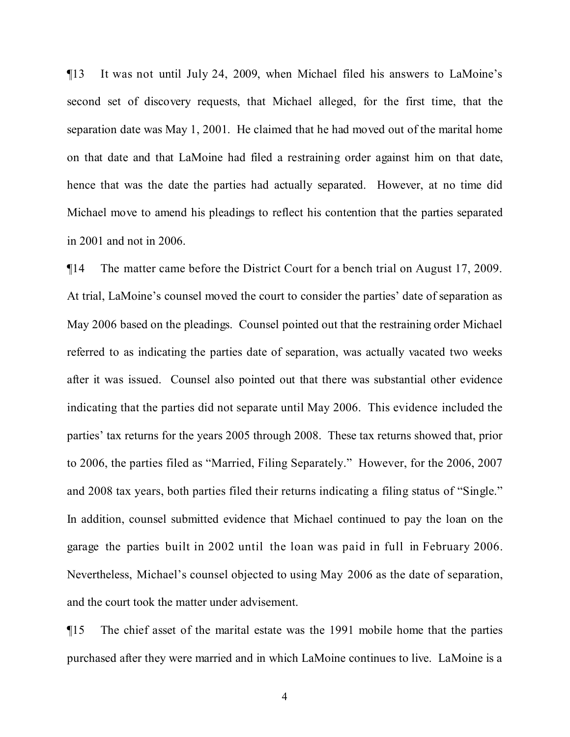¶13 It was not until July 24, 2009, when Michael filed his answers to LaMoine's second set of discovery requests, that Michael alleged, for the first time, that the separation date was May 1, 2001. He claimed that he had moved out of the marital home on that date and that LaMoine had filed a restraining order against him on that date, hence that was the date the parties had actually separated. However, at no time did Michael move to amend his pleadings to reflect his contention that the parties separated in 2001 and not in 2006.

¶14 The matter came before the District Court for a bench trial on August 17, 2009. At trial, LaMoine's counsel moved the court to consider the parties' date of separation as May 2006 based on the pleadings. Counsel pointed out that the restraining order Michael referred to as indicating the parties date of separation, was actually vacated two weeks after it was issued. Counsel also pointed out that there was substantial other evidence indicating that the parties did not separate until May 2006. This evidence included the parties' tax returns for the years 2005 through 2008. These tax returns showed that, prior to 2006, the parties filed as "Married, Filing Separately." However, for the 2006, 2007 and 2008 tax years, both parties filed their returns indicating a filing status of "Single." In addition, counsel submitted evidence that Michael continued to pay the loan on the garage the parties built in 2002 until the loan was paid in full in February 2006. Nevertheless, Michael's counsel objected to using May 2006 as the date of separation, and the court took the matter under advisement.

¶15 The chief asset of the marital estate was the 1991 mobile home that the parties purchased after they were married and in which LaMoine continues to live. LaMoine is a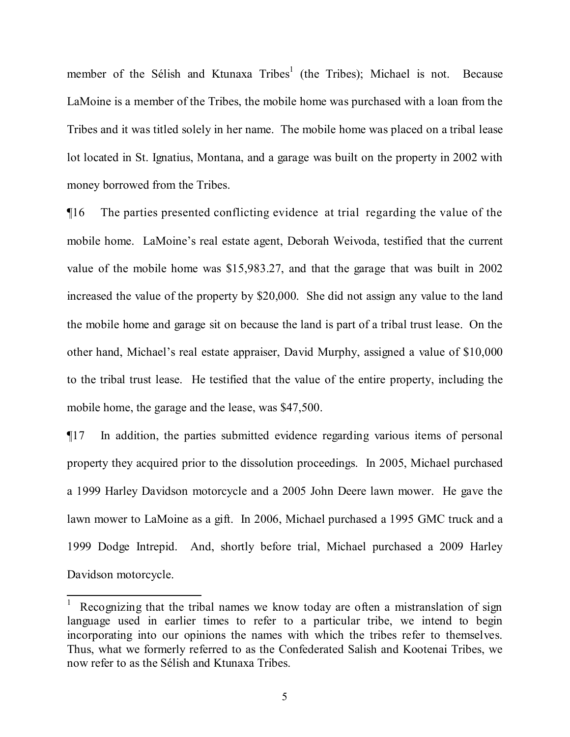member of the Sélish and Ktunaxa Tribes<sup>[1](#page-4-0)</sup> (the Tribes); Michael is not. Because LaMoine is a member of the Tribes, the mobile home was purchased with a loan from the Tribes and it was titled solely in her name. The mobile home was placed on a tribal lease lot located in St. Ignatius, Montana, and a garage was built on the property in 2002 with money borrowed from the Tribes.

¶16 The parties presented conflicting evidence at trial regarding the value of the mobile home. LaMoine's real estate agent, Deborah Weivoda, testified that the current value of the mobile home was \$15,983.27, and that the garage that was built in 2002 increased the value of the property by \$20,000. She did not assign any value to the land the mobile home and garage sit on because the land is part of a tribal trust lease. On the other hand, Michael's real estate appraiser, David Murphy, assigned a value of \$10,000 to the tribal trust lease. He testified that the value of the entire property, including the mobile home, the garage and the lease, was \$47,500.

¶17 In addition, the parties submitted evidence regarding various items of personal property they acquired prior to the dissolution proceedings. In 2005, Michael purchased a 1999 Harley Davidson motorcycle and a 2005 John Deere lawn mower. He gave the lawn mower to LaMoine as a gift. In 2006, Michael purchased a 1995 GMC truck and a 1999 Dodge Intrepid. And, shortly before trial, Michael purchased a 2009 Harley Davidson motorcycle.

<span id="page-4-0"></span>Recognizing that the tribal names we know today are often a mistranslation of sign language used in earlier times to refer to a particular tribe, we intend to begin incorporating into our opinions the names with which the tribes refer to themselves. Thus, what we formerly referred to as the Confederated Salish and Kootenai Tribes, we now refer to as the Sélish and Ktunaxa Tribes.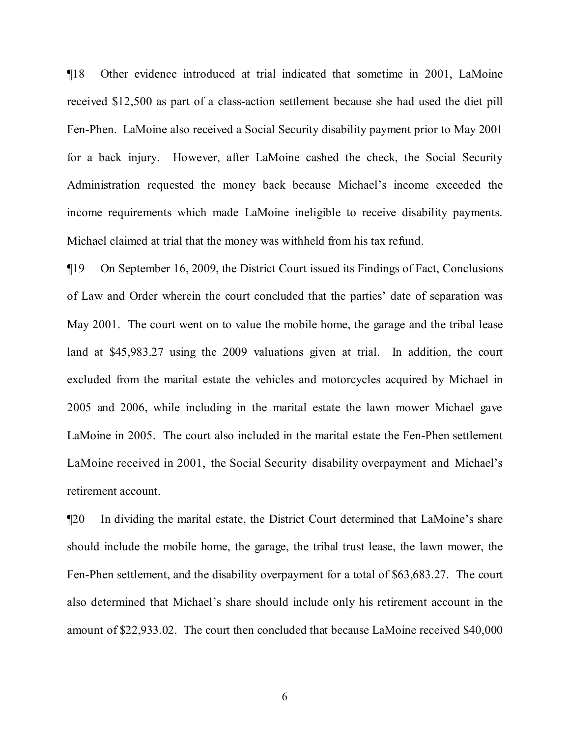¶18 Other evidence introduced at trial indicated that sometime in 2001, LaMoine received \$12,500 as part of a class-action settlement because she had used the diet pill Fen-Phen. LaMoine also received a Social Security disability payment prior to May 2001 for a back injury. However, after LaMoine cashed the check, the Social Security Administration requested the money back because Michael's income exceeded the income requirements which made LaMoine ineligible to receive disability payments. Michael claimed at trial that the money was withheld from his tax refund.

¶19 On September 16, 2009, the District Court issued its Findings of Fact, Conclusions of Law and Order wherein the court concluded that the parties' date of separation was May 2001. The court went on to value the mobile home, the garage and the tribal lease land at \$45,983.27 using the 2009 valuations given at trial. In addition, the court excluded from the marital estate the vehicles and motorcycles acquired by Michael in 2005 and 2006, while including in the marital estate the lawn mower Michael gave LaMoine in 2005. The court also included in the marital estate the Fen-Phen settlement LaMoine received in 2001, the Social Security disability overpayment and Michael's retirement account.

¶20 In dividing the marital estate, the District Court determined that LaMoine's share should include the mobile home, the garage, the tribal trust lease, the lawn mower, the Fen-Phen settlement, and the disability overpayment for a total of \$63,683.27. The court also determined that Michael's share should include only his retirement account in the amount of \$22,933.02. The court then concluded that because LaMoine received \$40,000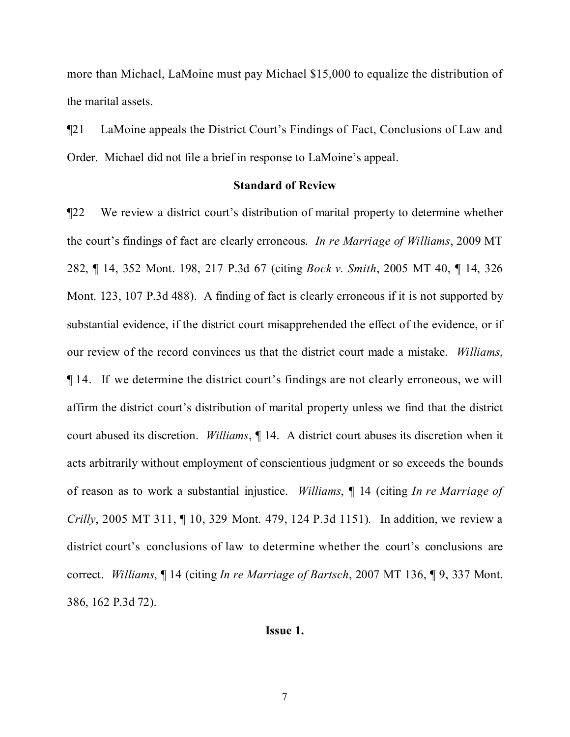more than Michael, LaMoine must pay Michael \$15,000 to equalize the distribution of the marital assets.

¶21 LaMoine appeals the District Court's Findings of Fact, Conclusions of Law and Order. Michael did not file a brief in response to LaMoine's appeal.

## **Standard of Review**

¶22 We review a district court's distribution of marital property to determine whether the court's findings of fact are clearly erroneous. *In re Marriage of Williams*, 2009 MT 282, ¶ 14, 352 Mont. 198, 217 P.3d 67 (citing *Bock v. Smith*, 2005 MT 40, ¶ 14, 326 Mont. 123, 107 P.3d 488). A finding of fact is clearly erroneous if it is not supported by substantial evidence, if the district court misapprehended the effect of the evidence, or if our review of the record convinces us that the district court made a mistake. *Williams*, ¶ 14. If we determine the district court's findings are not clearly erroneous, we will affirm the district court's distribution of marital property unless we find that the district court abused its discretion. *Williams*, ¶ 14. A district court abuses its discretion when it acts arbitrarily without employment of conscientious judgment or so exceeds the bounds of reason as to work a substantial injustice. *Williams*, ¶ 14 (citing *In re Marriage of Crilly*, 2005 MT 311, ¶ 10, 329 Mont. 479, 124 P.3d 1151). In addition, we review a district court's conclusions of law to determine whether the court's conclusions are correct. *Williams*, ¶ 14 (citing *In re Marriage of Bartsch*, 2007 MT 136, ¶ 9, 337 Mont. 386, 162 P.3d 72).

## **Issue 1.**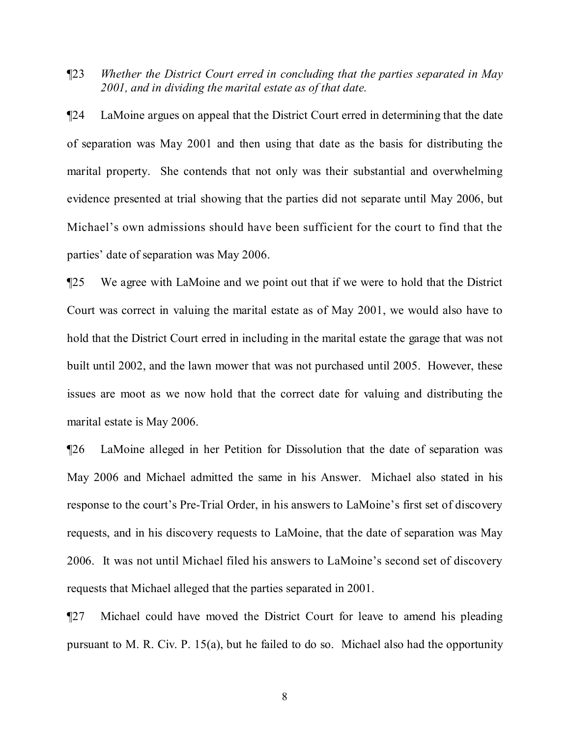¶23 *Whether the District Court erred in concluding that the parties separated in May 2001, and in dividing the marital estate as of that date.*

¶24 LaMoine argues on appeal that the District Court erred in determining that the date of separation was May 2001 and then using that date as the basis for distributing the marital property. She contends that not only was their substantial and overwhelming evidence presented at trial showing that the parties did not separate until May 2006, but Michael's own admissions should have been sufficient for the court to find that the parties' date of separation was May 2006.

¶25 We agree with LaMoine and we point out that if we were to hold that the District Court was correct in valuing the marital estate as of May 2001, we would also have to hold that the District Court erred in including in the marital estate the garage that was not built until 2002, and the lawn mower that was not purchased until 2005. However, these issues are moot as we now hold that the correct date for valuing and distributing the marital estate is May 2006.

¶26 LaMoine alleged in her Petition for Dissolution that the date of separation was May 2006 and Michael admitted the same in his Answer. Michael also stated in his response to the court's Pre-Trial Order, in his answers to LaMoine's first set of discovery requests, and in his discovery requests to LaMoine, that the date of separation was May 2006. It was not until Michael filed his answers to LaMoine's second set of discovery requests that Michael alleged that the parties separated in 2001.

¶27 Michael could have moved the District Court for leave to amend his pleading pursuant to M. R. Civ. P. 15(a), but he failed to do so. Michael also had the opportunity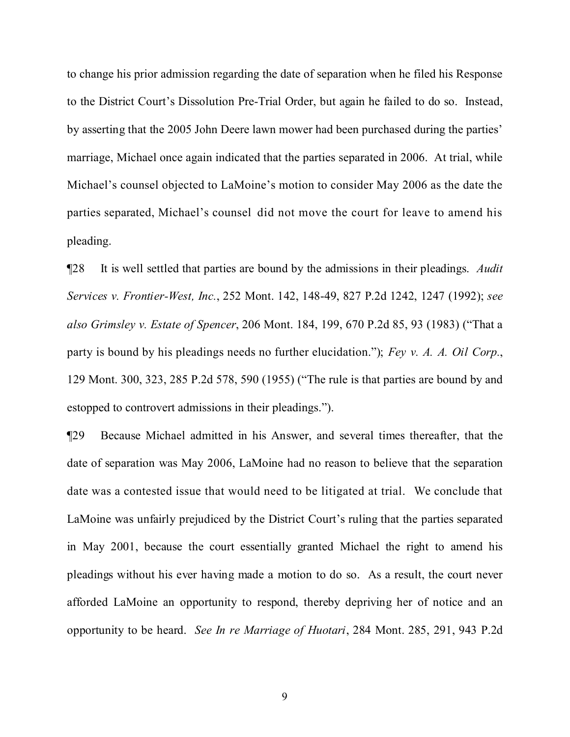to change his prior admission regarding the date of separation when he filed his Response to the District Court's Dissolution Pre-Trial Order, but again he failed to do so. Instead, by asserting that the 2005 John Deere lawn mower had been purchased during the parties' marriage, Michael once again indicated that the parties separated in 2006. At trial, while Michael's counsel objected to LaMoine's motion to consider May 2006 as the date the parties separated, Michael's counsel did not move the court for leave to amend his pleading.

¶28 It is well settled that parties are bound by the admissions in their pleadings. *Audit Services v. Frontier-West, Inc.*, 252 Mont. 142, 148-49, 827 P.2d 1242, 1247 (1992); *see also Grimsley v. Estate of Spencer*, 206 Mont. 184, 199, 670 P.2d 85, 93 (1983) ("That a party is bound by his pleadings needs no further elucidation."); *Fey v. A. A. Oil Corp.*, 129 Mont. 300, 323, 285 P.2d 578, 590 (1955) ("The rule is that parties are bound by and estopped to controvert admissions in their pleadings.").

¶29 Because Michael admitted in his Answer, and several times thereafter, that the date of separation was May 2006, LaMoine had no reason to believe that the separation date was a contested issue that would need to be litigated at trial. We conclude that LaMoine was unfairly prejudiced by the District Court's ruling that the parties separated in May 2001, because the court essentially granted Michael the right to amend his pleadings without his ever having made a motion to do so. As a result, the court never afforded LaMoine an opportunity to respond, thereby depriving her of notice and an opportunity to be heard. *See In re Marriage of Huotari*, 284 Mont. 285, 291, 943 P.2d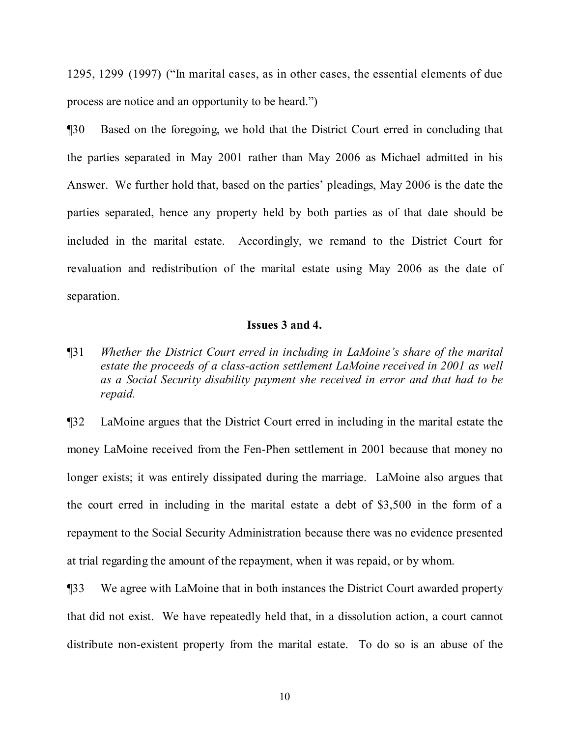1295, 1299 (1997) ("In marital cases, as in other cases, the essential elements of due process are notice and an opportunity to be heard.")

¶30 Based on the foregoing, we hold that the District Court erred in concluding that the parties separated in May 2001 rather than May 2006 as Michael admitted in his Answer. We further hold that, based on the parties' pleadings, May 2006 is the date the parties separated, hence any property held by both parties as of that date should be included in the marital estate. Accordingly, we remand to the District Court for revaluation and redistribution of the marital estate using May 2006 as the date of separation.

# **Issues 3 and 4.**

¶31 *Whether the District Court erred in including in LaMoine's share of the marital estate the proceeds of a class-action settlement LaMoine received in 2001 as well as a Social Security disability payment she received in error and that had to be repaid.*

¶32 LaMoine argues that the District Court erred in including in the marital estate the money LaMoine received from the Fen-Phen settlement in 2001 because that money no longer exists; it was entirely dissipated during the marriage. LaMoine also argues that the court erred in including in the marital estate a debt of \$3,500 in the form of a repayment to the Social Security Administration because there was no evidence presented at trial regarding the amount of the repayment, when it was repaid, or by whom.

¶33 We agree with LaMoine that in both instances the District Court awarded property that did not exist. We have repeatedly held that, in a dissolution action, a court cannot distribute non-existent property from the marital estate. To do so is an abuse of the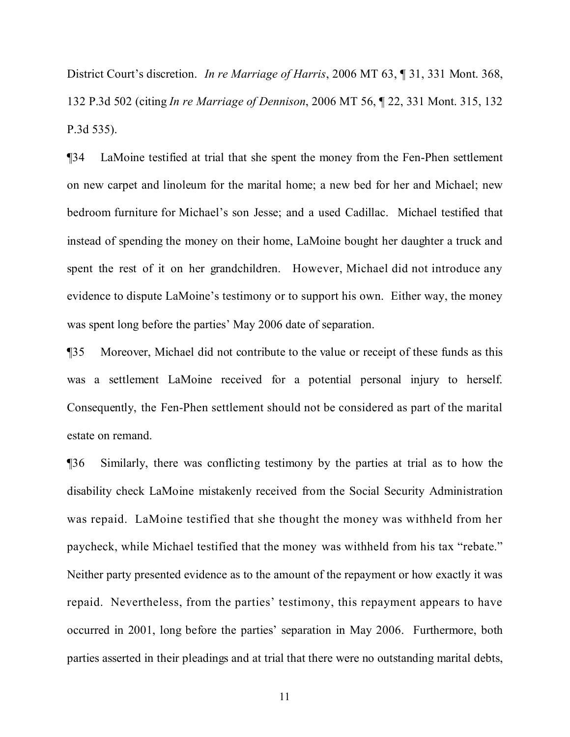District Court's discretion. *In re Marriage of Harris*, 2006 MT 63, ¶ 31, 331 Mont. 368, 132 P.3d 502 (citing *In re Marriage of Dennison*, 2006 MT 56, ¶ 22, 331 Mont. 315, 132 P.3d 535).

¶34 LaMoine testified at trial that she spent the money from the Fen-Phen settlement on new carpet and linoleum for the marital home; a new bed for her and Michael; new bedroom furniture for Michael's son Jesse; and a used Cadillac. Michael testified that instead of spending the money on their home, LaMoine bought her daughter a truck and spent the rest of it on her grandchildren. However, Michael did not introduce any evidence to dispute LaMoine's testimony or to support his own. Either way, the money was spent long before the parties' May 2006 date of separation.

¶35 Moreover, Michael did not contribute to the value or receipt of these funds as this was a settlement LaMoine received for a potential personal injury to herself. Consequently, the Fen-Phen settlement should not be considered as part of the marital estate on remand.

¶36 Similarly, there was conflicting testimony by the parties at trial as to how the disability check LaMoine mistakenly received from the Social Security Administration was repaid. LaMoine testified that she thought the money was withheld from her paycheck, while Michael testified that the money was withheld from his tax "rebate." Neither party presented evidence as to the amount of the repayment or how exactly it was repaid. Nevertheless, from the parties' testimony, this repayment appears to have occurred in 2001, long before the parties' separation in May 2006. Furthermore, both parties asserted in their pleadings and at trial that there were no outstanding marital debts,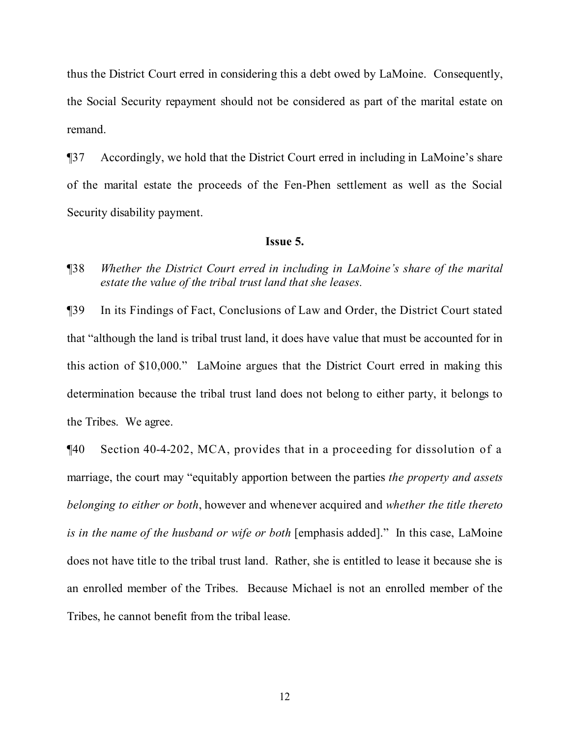thus the District Court erred in considering this a debt owed by LaMoine. Consequently, the Social Security repayment should not be considered as part of the marital estate on remand.

¶37 Accordingly, we hold that the District Court erred in including in LaMoine's share of the marital estate the proceeds of the Fen-Phen settlement as well as the Social Security disability payment.

# **Issue 5.**

# ¶38 *Whether the District Court erred in including in LaMoine's share of the marital estate the value of the tribal trust land that she leases.*

¶39 In its Findings of Fact, Conclusions of Law and Order, the District Court stated that "although the land is tribal trust land, it does have value that must be accounted for in this action of \$10,000." LaMoine argues that the District Court erred in making this determination because the tribal trust land does not belong to either party, it belongs to the Tribes. We agree.

¶40 Section 40-4-202, MCA, provides that in a proceeding for dissolution of a marriage, the court may "equitably apportion between the parties *the property and assets belonging to either or both*, however and whenever acquired and *whether the title thereto is in the name of the husband or wife or both* [emphasis added]." In this case, LaMoine does not have title to the tribal trust land. Rather, she is entitled to lease it because she is an enrolled member of the Tribes. Because Michael is not an enrolled member of the Tribes, he cannot benefit from the tribal lease.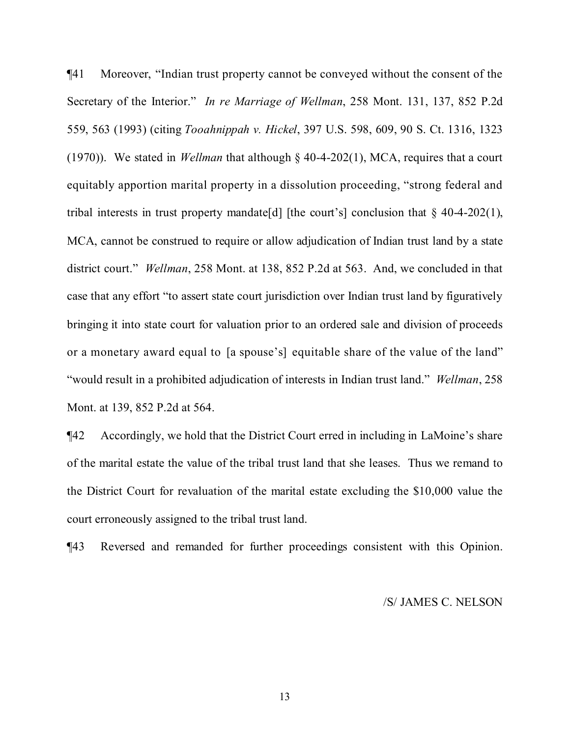¶41 Moreover, "Indian trust property cannot be conveyed without the consent of the Secretary of the Interior." *In re Marriage of Wellman*, 258 Mont. 131, 137, 852 P.2d 559, 563 (1993) (citing *Tooahnippah v. Hickel*, 397 U.S. 598, 609, 90 S. Ct. 1316, 1323 (1970)). We stated in *Wellman* that although § 40-4-202(1), MCA, requires that a court equitably apportion marital property in a dissolution proceeding, "strong federal and tribal interests in trust property mandate [d] [the court's] conclusion that  $\S$  40-4-202(1), MCA, cannot be construed to require or allow adjudication of Indian trust land by a state district court." *Wellman*, 258 Mont. at 138, 852 P.2d at 563. And, we concluded in that case that any effort "to assert state court jurisdiction over Indian trust land by figuratively bringing it into state court for valuation prior to an ordered sale and division of proceeds or a monetary award equal to [a spouse's] equitable share of the value of the land" "would result in a prohibited adjudication of interests in Indian trust land." *Wellman*, 258 Mont. at 139, 852 P.2d at 564.

¶42 Accordingly, we hold that the District Court erred in including in LaMoine's share of the marital estate the value of the tribal trust land that she leases. Thus we remand to the District Court for revaluation of the marital estate excluding the \$10,000 value the court erroneously assigned to the tribal trust land.

¶43 Reversed and remanded for further proceedings consistent with this Opinion.

/S/ JAMES C. NELSON